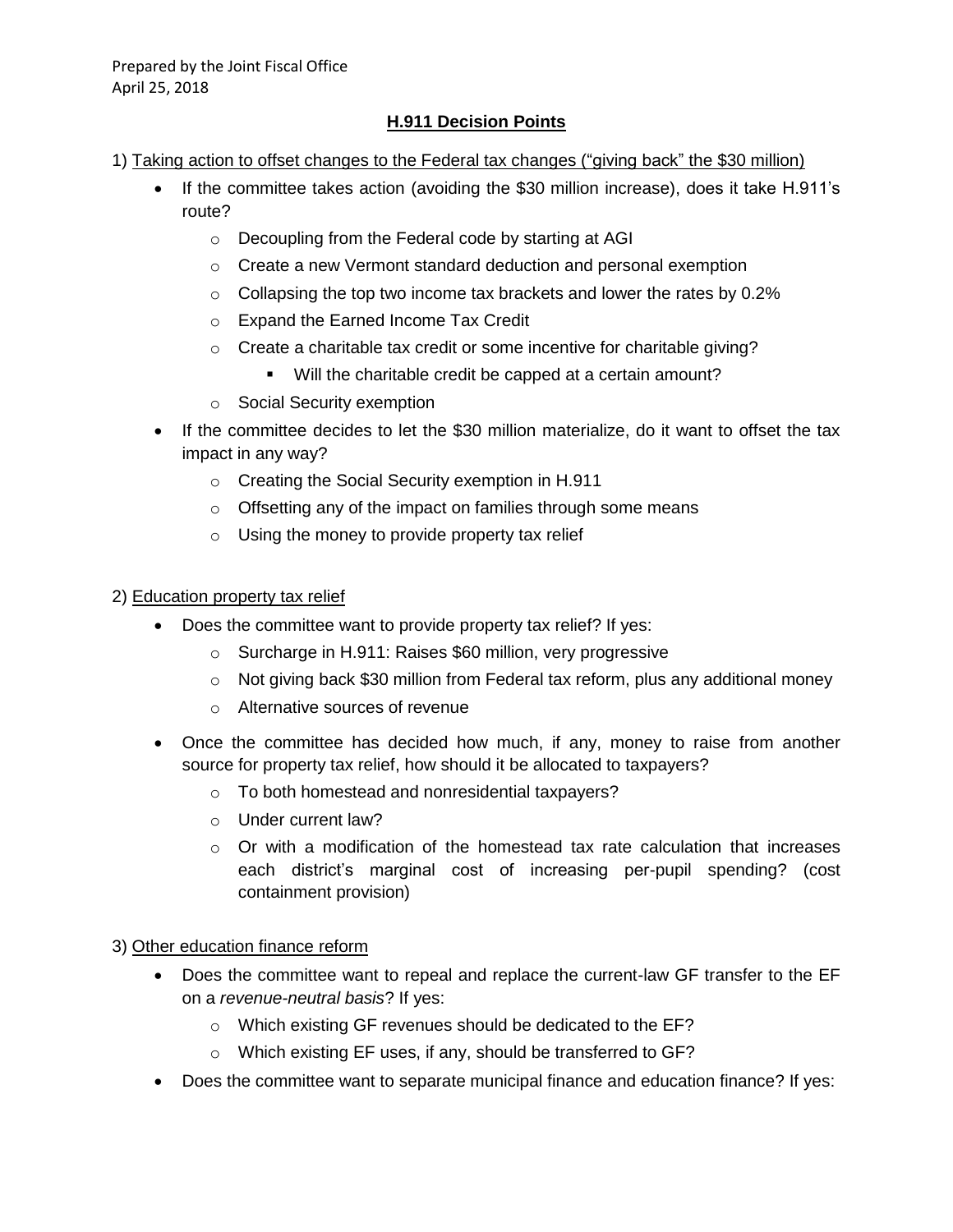#### **H.911 Decision Points**

- 1) Taking action to offset changes to the Federal tax changes ("giving back" the \$30 million)
	- If the committee takes action (avoiding the \$30 million increase), does it take H.911's route?
		- o Decoupling from the Federal code by starting at AGI
		- o Create a new Vermont standard deduction and personal exemption
		- o Collapsing the top two income tax brackets and lower the rates by 0.2%
		- o Expand the Earned Income Tax Credit
		- o Create a charitable tax credit or some incentive for charitable giving?
			- Will the charitable credit be capped at a certain amount?
		- o Social Security exemption
	- If the committee decides to let the \$30 million materialize, do it want to offset the tax impact in any way?
		- o Creating the Social Security exemption in H.911
		- o Offsetting any of the impact on families through some means
		- o Using the money to provide property tax relief

#### 2) Education property tax relief

- Does the committee want to provide property tax relief? If yes:
	- o Surcharge in H.911: Raises \$60 million, very progressive
	- $\circ$  Not giving back \$30 million from Federal tax reform, plus any additional money
	- o Alternative sources of revenue
- Once the committee has decided how much, if any, money to raise from another source for property tax relief, how should it be allocated to taxpayers?
	- o To both homestead and nonresidential taxpayers?
	- o Under current law?
	- $\circ$  Or with a modification of the homestead tax rate calculation that increases each district's marginal cost of increasing per-pupil spending? (cost containment provision)

#### 3) Other education finance reform

- Does the committee want to repeal and replace the current-law GF transfer to the EF on a *revenue-neutral basis*? If yes:
	- o Which existing GF revenues should be dedicated to the EF?
	- o Which existing EF uses, if any, should be transferred to GF?
- Does the committee want to separate municipal finance and education finance? If yes: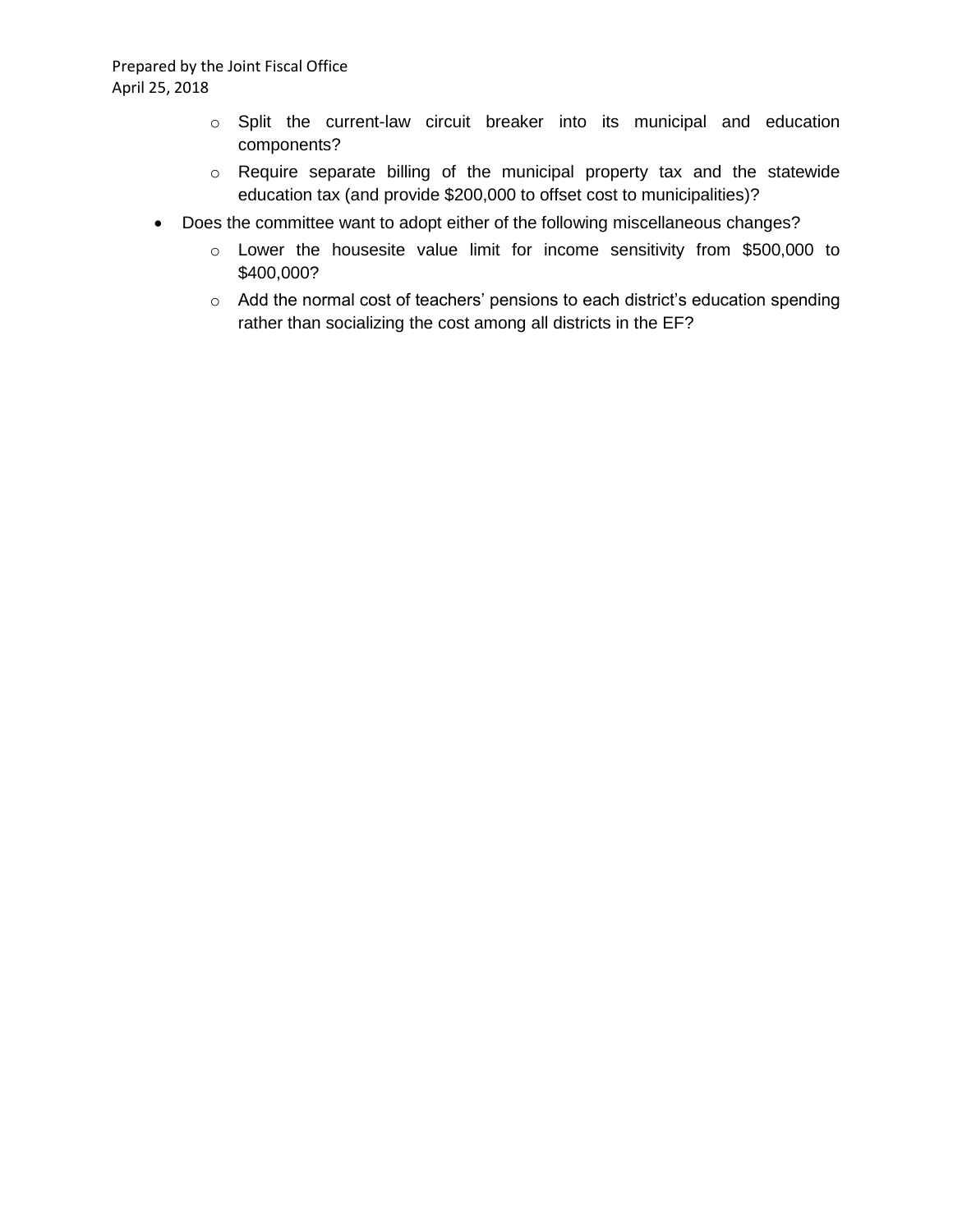- o Split the current-law circuit breaker into its municipal and education components?
- o Require separate billing of the municipal property tax and the statewide education tax (and provide \$200,000 to offset cost to municipalities)?
- Does the committee want to adopt either of the following miscellaneous changes?
	- o Lower the housesite value limit for income sensitivity from \$500,000 to \$400,000?
	- o Add the normal cost of teachers' pensions to each district's education spending rather than socializing the cost among all districts in the EF?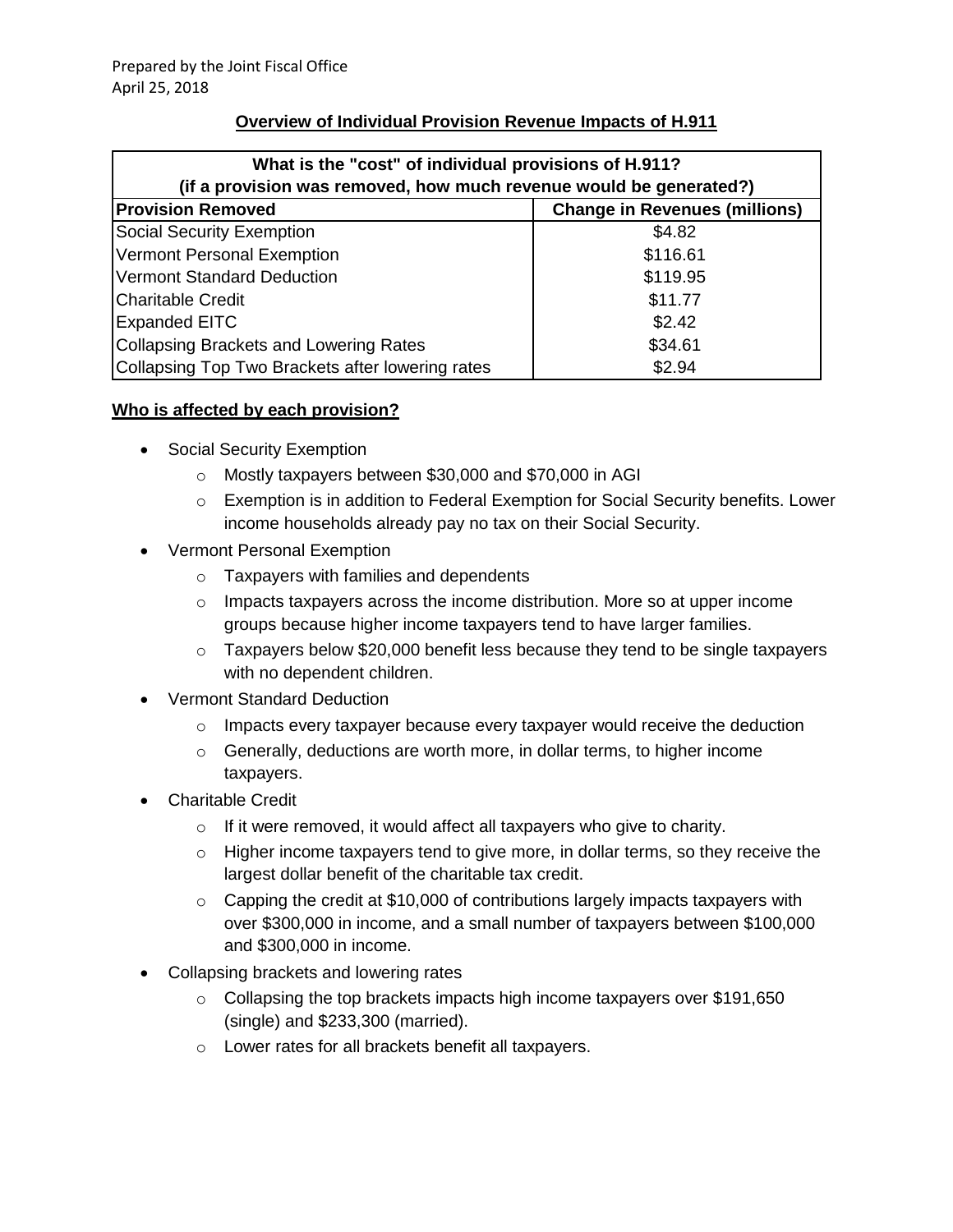#### **Overview of Individual Provision Revenue Impacts of H.911**

| What is the "cost" of individual provisions of H.911?              |          |  |  |  |
|--------------------------------------------------------------------|----------|--|--|--|
| (if a provision was removed, how much revenue would be generated?) |          |  |  |  |
| <b>Change in Revenues (millions)</b><br><b>Provision Removed</b>   |          |  |  |  |
| <b>Social Security Exemption</b>                                   | \$4.82   |  |  |  |
| <b>Vermont Personal Exemption</b>                                  | \$116.61 |  |  |  |
| <b>Vermont Standard Deduction</b>                                  | \$119.95 |  |  |  |
| <b>Charitable Credit</b>                                           | \$11.77  |  |  |  |
| <b>Expanded EITC</b>                                               | \$2.42   |  |  |  |
| <b>Collapsing Brackets and Lowering Rates</b><br>\$34.61           |          |  |  |  |
| Collapsing Top Two Brackets after lowering rates                   | \$2.94   |  |  |  |

#### **Who is affected by each provision?**

- Social Security Exemption
	- o Mostly taxpayers between \$30,000 and \$70,000 in AGI
	- $\circ$  Exemption is in addition to Federal Exemption for Social Security benefits. Lower income households already pay no tax on their Social Security.
- Vermont Personal Exemption
	- o Taxpayers with families and dependents
	- $\circ$  Impacts taxpayers across the income distribution. More so at upper income groups because higher income taxpayers tend to have larger families.
	- o Taxpayers below \$20,000 benefit less because they tend to be single taxpayers with no dependent children.
- Vermont Standard Deduction
	- o Impacts every taxpayer because every taxpayer would receive the deduction
	- o Generally, deductions are worth more, in dollar terms, to higher income taxpayers.
- Charitable Credit
	- $\circ$  If it were removed, it would affect all taxpayers who give to charity.
	- $\circ$  Higher income taxpayers tend to give more, in dollar terms, so they receive the largest dollar benefit of the charitable tax credit.
	- $\circ$  Capping the credit at \$10,000 of contributions largely impacts taxpayers with over \$300,000 in income, and a small number of taxpayers between \$100,000 and \$300,000 in income.
- Collapsing brackets and lowering rates
	- $\circ$  Collapsing the top brackets impacts high income taxpayers over \$191,650 (single) and \$233,300 (married).
	- o Lower rates for all brackets benefit all taxpayers.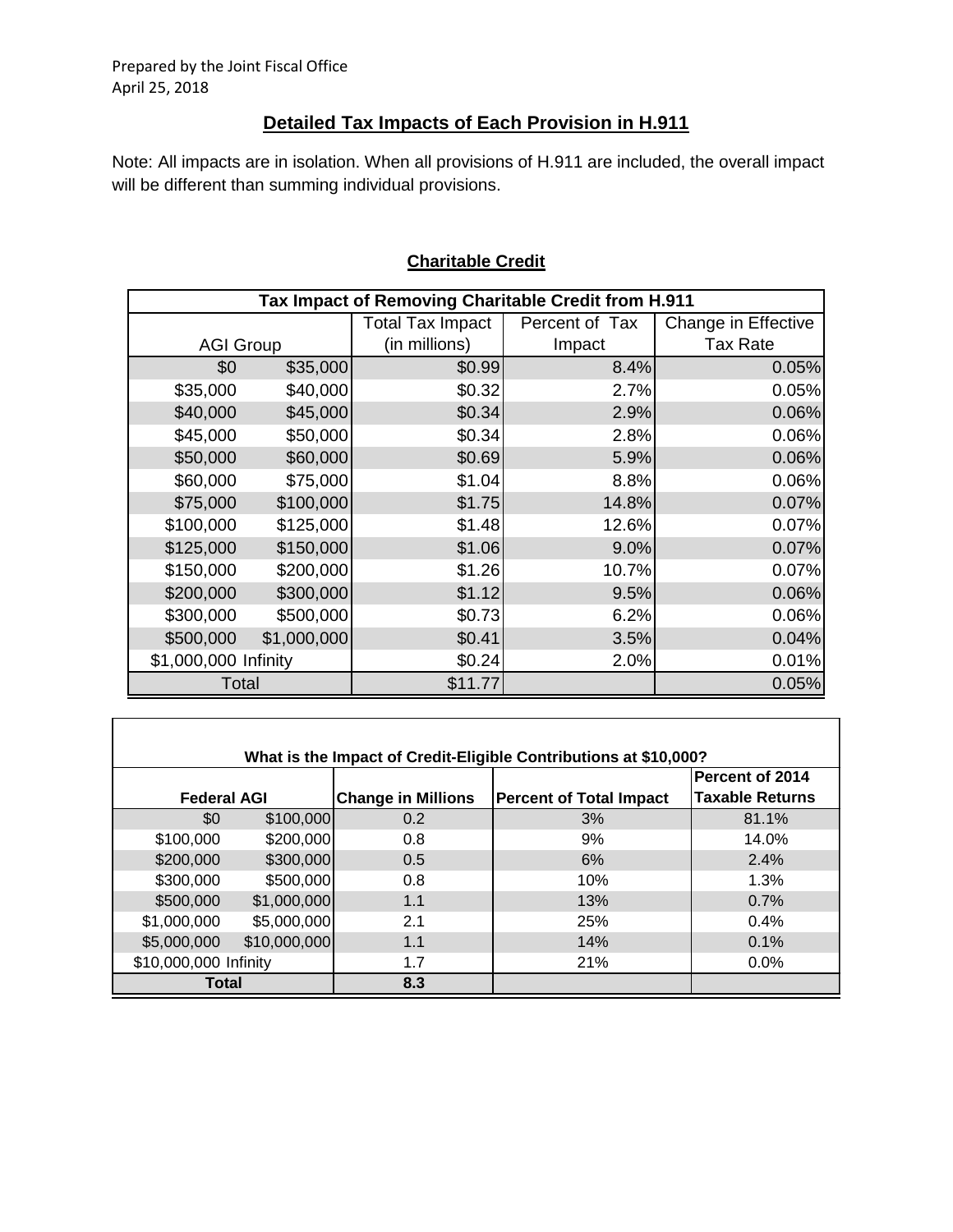Г

## **Detailed Tax Impacts of Each Provision in H.911**

Note: All impacts are in isolation. When all provisions of H.911 are included, the overall impact will be different than summing individual provisions.

| Tax Impact of Removing Charitable Credit from H.911 |             |                         |                |                     |  |
|-----------------------------------------------------|-------------|-------------------------|----------------|---------------------|--|
|                                                     |             | <b>Total Tax Impact</b> | Percent of Tax | Change in Effective |  |
| <b>AGI Group</b>                                    |             | (in millions)           | Impact         | <b>Tax Rate</b>     |  |
| \$0                                                 | \$35,000    | \$0.99                  | 8.4%           | 0.05%               |  |
| \$35,000                                            | \$40,000    | \$0.32                  | 2.7%           | 0.05%               |  |
| \$40,000                                            | \$45,000    | \$0.34                  | 2.9%           | 0.06%               |  |
| \$45,000                                            | \$50,000    | \$0.34]                 | 2.8%           | 0.06%               |  |
| \$50,000                                            | \$60,000    | \$0.69                  | 5.9%           | 0.06%               |  |
| \$60,000                                            | \$75,000    | \$1.04]                 | 8.8%           | 0.06%               |  |
| \$75,000                                            | \$100,000   | \$1.75                  | 14.8%          | 0.07%               |  |
| \$100,000                                           | \$125,000   | \$1.48                  | 12.6%          | 0.07%               |  |
| \$125,000                                           | \$150,000   | \$1.06                  | 9.0%           | 0.07%               |  |
| \$150,000                                           | \$200,000   | \$1.26                  | 10.7%          | 0.07%               |  |
| \$200,000                                           | \$300,000   | \$1.12                  | 9.5%           | 0.06%               |  |
| \$300,000                                           | \$500,000   | \$0.73                  | 6.2%           | 0.06%               |  |
| \$500,000                                           | \$1,000,000 | \$0.41                  | 3.5%           | 0.04%               |  |
| \$1,000,000 Infinity                                |             | \$0.24]                 | 2.0%           | 0.01%               |  |
| Total                                               |             | \$11.77                 |                | 0.05%               |  |

## **Charitable Credit**

| What is the Impact of Credit-Eligible Contributions at \$10,000? |              |                           |                                |                        |  |  |  |
|------------------------------------------------------------------|--------------|---------------------------|--------------------------------|------------------------|--|--|--|
|                                                                  |              |                           |                                | Percent of 2014        |  |  |  |
| <b>Federal AGI</b>                                               |              | <b>Change in Millions</b> | <b>Percent of Total Impact</b> | <b>Taxable Returns</b> |  |  |  |
| \$0                                                              | \$100,000    | 0.2                       | 3%                             | 81.1%                  |  |  |  |
| \$100,000                                                        | \$200,000    | 0.8                       | 9%                             | 14.0%                  |  |  |  |
| \$200,000                                                        | \$300,000    | 0.5                       | 6%                             | 2.4%                   |  |  |  |
| \$300,000                                                        | \$500,000    | 0.8                       | 10%                            | 1.3%                   |  |  |  |
| \$500,000                                                        | \$1,000,000  | 1.1                       | 13%                            | 0.7%                   |  |  |  |
| \$1,000,000                                                      | \$5,000,000  | 2.1                       | 25%                            | 0.4%                   |  |  |  |
| \$5,000,000                                                      | \$10,000,000 | 1.1                       | 14%                            | 0.1%                   |  |  |  |
| \$10,000,000 Infinity                                            |              | 1.7                       | 21%                            | 0.0%                   |  |  |  |
| Total                                                            |              | 8.3                       |                                |                        |  |  |  |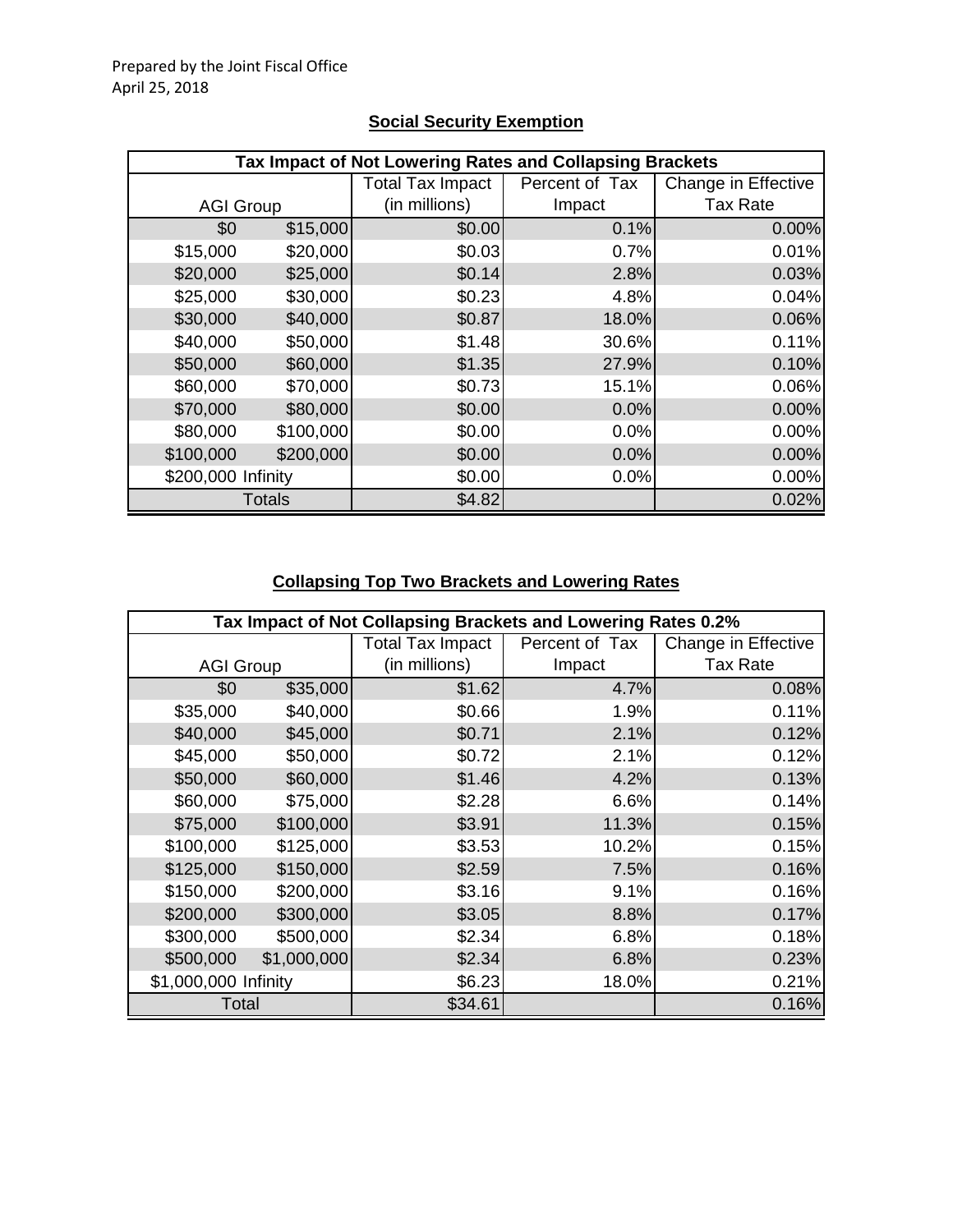|                    | Tax Impact of Not Lowering Rates and Collapsing Brackets |                         |                |                     |  |  |  |
|--------------------|----------------------------------------------------------|-------------------------|----------------|---------------------|--|--|--|
|                    |                                                          | <b>Total Tax Impact</b> | Percent of Tax | Change in Effective |  |  |  |
| <b>AGI Group</b>   |                                                          | (in millions)           | Impact         | <b>Tax Rate</b>     |  |  |  |
| \$0                | \$15,000                                                 | \$0.00                  | 0.1%           | 0.00%               |  |  |  |
| \$15,000           | \$20,000                                                 | \$0.03                  | 0.7%           | 0.01%               |  |  |  |
| \$20,000           | \$25,000                                                 | \$0.14                  | 2.8%           | 0.03%               |  |  |  |
| \$25,000           | \$30,000                                                 | \$0.23                  | 4.8%           | 0.04%               |  |  |  |
| \$30,000           | \$40,000                                                 | \$0.87                  | 18.0%          | 0.06%               |  |  |  |
| \$40,000           | \$50,000                                                 | \$1.48                  | 30.6%          | 0.11%               |  |  |  |
| \$50,000           | \$60,000                                                 | \$1.35                  | 27.9%          | 0.10%               |  |  |  |
| \$60,000           | \$70,000                                                 | \$0.73                  | 15.1%          | 0.06%               |  |  |  |
| \$70,000           | \$80,000                                                 | \$0.00                  | 0.0%           | 0.00%               |  |  |  |
| \$80,000           | \$100,000                                                | \$0.00                  | 0.0%           | 0.00%               |  |  |  |
| \$100,000          | \$200,000                                                | \$0.00                  | 0.0%           | 0.00%               |  |  |  |
| \$200,000 Infinity |                                                          | \$0.00                  | 0.0%           | 0.00%               |  |  |  |
|                    | Totals                                                   | \$4.82                  |                | 0.02%               |  |  |  |

## **Social Security Exemption**

## **Collapsing Top Two Brackets and Lowering Rates**

|                      | Tax Impact of Not Collapsing Brackets and Lowering Rates 0.2% |                         |                |                     |  |  |
|----------------------|---------------------------------------------------------------|-------------------------|----------------|---------------------|--|--|
|                      |                                                               | <b>Total Tax Impact</b> | Percent of Tax | Change in Effective |  |  |
| <b>AGI Group</b>     |                                                               | (in millions)           | Impact         | <b>Tax Rate</b>     |  |  |
| \$0                  | \$35,000                                                      | \$1.62                  | 4.7%           | 0.08%               |  |  |
| \$35,000             | \$40,000                                                      | \$0.66                  | 1.9%           | 0.11%               |  |  |
| \$40,000             | \$45,000                                                      | \$0.71                  | 2.1%           | 0.12%               |  |  |
| \$45,000             | \$50,000                                                      | \$0.72                  | 2.1%           | 0.12%               |  |  |
| \$50,000             | \$60,000                                                      | \$1.46                  | 4.2%           | 0.13%               |  |  |
| \$60,000             | \$75,000                                                      | \$2.28                  | 6.6%           | 0.14%               |  |  |
| \$75,000             | \$100,000                                                     | \$3.91                  | 11.3%          | 0.15%               |  |  |
| \$100,000            | \$125,000                                                     | \$3.53                  | 10.2%          | 0.15%               |  |  |
| \$125,000            | \$150,000                                                     | \$2.59                  | 7.5%           | 0.16%               |  |  |
| \$150,000            | \$200,000                                                     | \$3.16                  | 9.1%           | 0.16%               |  |  |
| \$200,000            | \$300,000                                                     | \$3.05                  | 8.8%           | 0.17%               |  |  |
| \$300,000            | \$500,000                                                     | \$2.34                  | 6.8%           | 0.18%               |  |  |
| \$500,000            | \$1,000,000                                                   | \$2.34                  | 6.8%           | 0.23%               |  |  |
| \$1,000,000 Infinity |                                                               | \$6.23                  | 18.0%          | 0.21%               |  |  |
| Total                |                                                               | \$34.61                 |                | 0.16%               |  |  |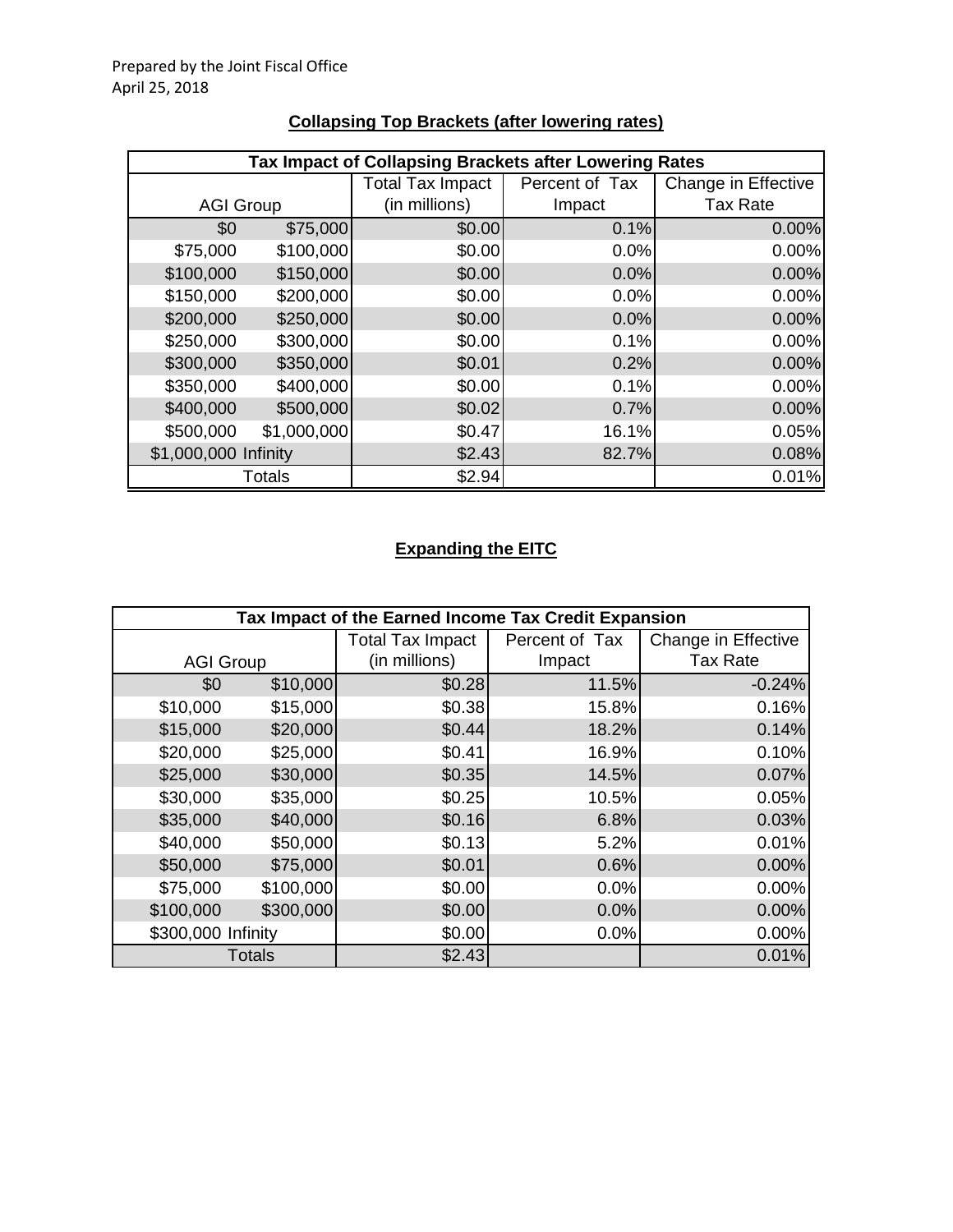|                      | Tax Impact of Collapsing Brackets after Lowering Rates |                         |                |                     |  |  |
|----------------------|--------------------------------------------------------|-------------------------|----------------|---------------------|--|--|
|                      |                                                        | <b>Total Tax Impact</b> | Percent of Tax | Change in Effective |  |  |
| <b>AGI Group</b>     |                                                        | (in millions)           | Impact         | <b>Tax Rate</b>     |  |  |
| \$0                  | \$75,000                                               | \$0.00                  | 0.1%           | 0.00%               |  |  |
| \$75,000             | \$100,000                                              | \$0.00                  | 0.0%           | 0.00%               |  |  |
| \$100,000            | \$150,000                                              | \$0.00                  | 0.0%           | 0.00%               |  |  |
| \$150,000            | \$200,000                                              | \$0.00                  | 0.0%           | 0.00%               |  |  |
| \$200,000            | \$250,000                                              | \$0.00                  | 0.0%           | 0.00%               |  |  |
| \$250,000            | \$300,000                                              | \$0.00                  | 0.1%           | 0.00%               |  |  |
| \$300,000            | \$350,000                                              | \$0.01                  | 0.2%           | 0.00%               |  |  |
| \$350,000            | \$400,000                                              | \$0.00                  | 0.1%           | 0.00%               |  |  |
| \$400,000            | \$500,000                                              | \$0.02                  | 0.7%           | 0.00%               |  |  |
| \$500,000            | \$1,000,000                                            | \$0.47                  | 16.1%          | 0.05%               |  |  |
| \$1,000,000 Infinity |                                                        | \$2.43                  | 82.7%          | 0.08%               |  |  |
|                      | <b>Totals</b>                                          | \$2.94                  |                | 0.01%               |  |  |

# **Collapsing Top Brackets (after lowering rates)**

## **Expanding the EITC**

| Tax Impact of the Earned Income Tax Credit Expansion |               |                  |                |                     |
|------------------------------------------------------|---------------|------------------|----------------|---------------------|
|                                                      |               | Total Tax Impact | Percent of Tax | Change in Effective |
| <b>AGI Group</b>                                     |               | (in millions)    | Impact         | <b>Tax Rate</b>     |
| \$0                                                  | \$10,000      | \$0.28           | 11.5%          | $-0.24%$            |
| \$10,000                                             | \$15,000      | \$0.38           | 15.8%          | 0.16%               |
| \$15,000                                             | \$20,000      | \$0.44           | 18.2%          | 0.14%               |
| \$20,000                                             | \$25,000      | \$0.41           | 16.9%          | 0.10%               |
| \$25,000                                             | \$30,000      | \$0.35           | 14.5%          | 0.07%               |
| \$30,000                                             | \$35,000      | \$0.25           | 10.5%          | 0.05%               |
| \$35,000                                             | \$40,000      | \$0.16           | 6.8%           | 0.03%               |
| \$40,000                                             | \$50,000      | \$0.13           | 5.2%           | 0.01%               |
| \$50,000                                             | \$75,000      | \$0.01           | 0.6%           | 0.00%               |
| \$75,000                                             | \$100,000     | \$0.00           | 0.0%           | 0.00%               |
| \$100,000                                            | \$300,000     | \$0.00           | 0.0%           | 0.00%               |
| \$300,000 Infinity                                   |               | \$0.00           | 0.0%           | 0.00%               |
|                                                      | <b>Totals</b> | \$2.43           |                | 0.01%               |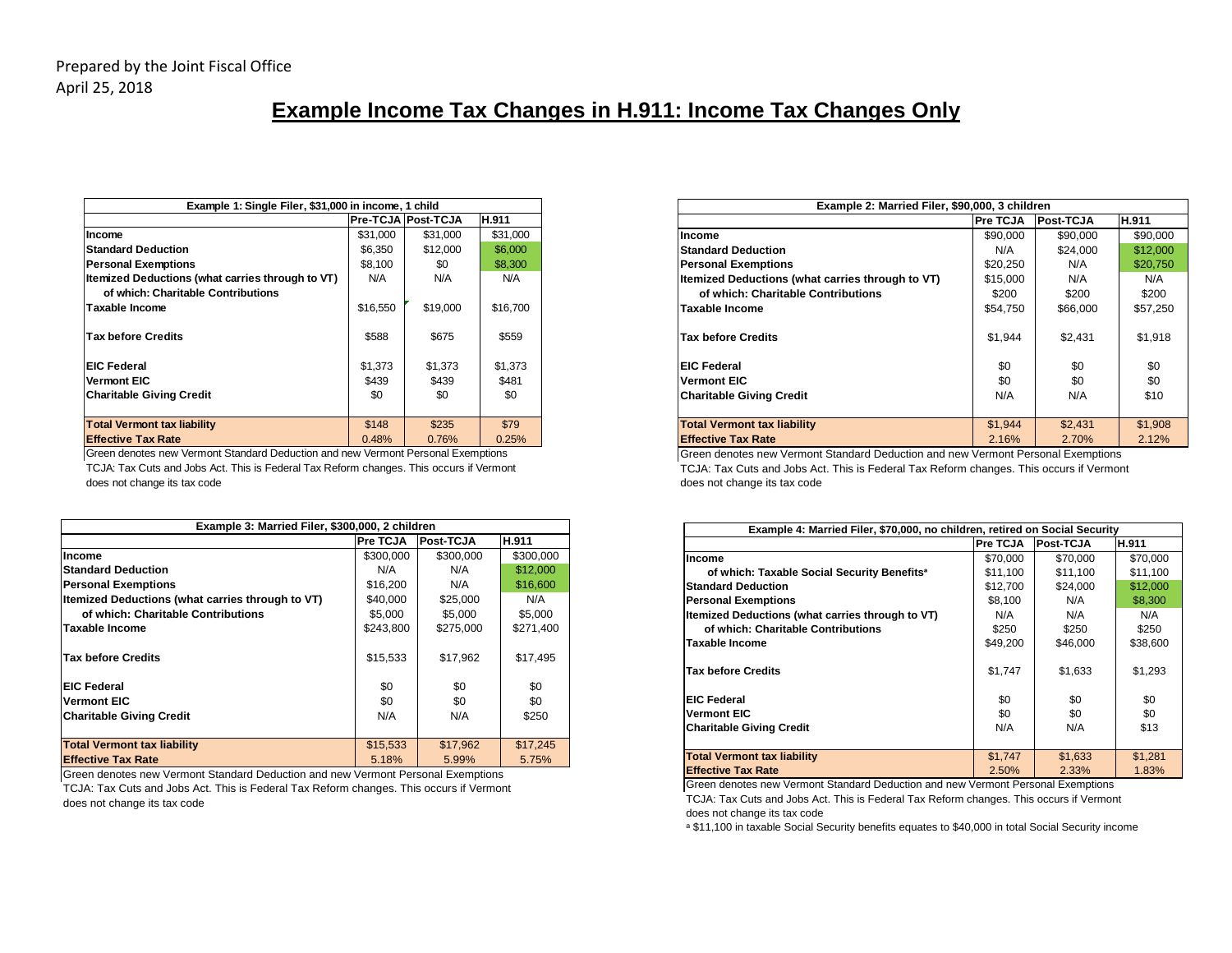# **Example Income Tax Changes in H.911: Income Tax Changes Only**

| Example 1: Single Filer, \$31,000 in income, 1 child |          |                    |          |  |  |
|------------------------------------------------------|----------|--------------------|----------|--|--|
|                                                      |          | Pre-TCJA Post-TCJA | H.911    |  |  |
| Income                                               | \$31.000 | \$31,000           | \$31,000 |  |  |
| <b>Standard Deduction</b>                            | \$6,350  | \$12,000           | \$6,000  |  |  |
| <b>Personal Exemptions</b>                           | \$8,100  | \$0                | \$8,300  |  |  |
| Itemized Deductions (what carries through to VT)     | N/A      | N/A                | N/A      |  |  |
| of which: Charitable Contributions                   |          |                    |          |  |  |
| Taxable Income                                       | \$16,550 | \$19,000           | \$16,700 |  |  |
|                                                      |          |                    |          |  |  |
| <b>Tax before Credits</b>                            | \$588    | \$675              | \$559    |  |  |
|                                                      |          |                    |          |  |  |
| <b>EIC Federal</b>                                   | \$1,373  | \$1,373            | \$1,373  |  |  |
| <b>Vermont EIC</b>                                   | \$439    | \$439              | \$481    |  |  |
| <b>Charitable Giving Credit</b>                      | \$0      | \$0                | \$0      |  |  |
|                                                      |          |                    |          |  |  |
| <b>Total Vermont tax liability</b>                   | \$148    | \$235              | \$79     |  |  |
| <b>Effective Tax Rate</b>                            | 0.48%    | 0.76%              | 0.25%    |  |  |

Green denotes new Vermont Standard Deduction and new Vermont Personal Exemptions TCJA: Tax Cuts and Jobs Act. This is Federal Tax Reform changes. This occurs if Vermont does not change its tax code

| Example 3: Married Filer, \$300,000, 2 children  |           |           |           |  |  |
|--------------------------------------------------|-----------|-----------|-----------|--|--|
|                                                  | Pre TCJA  | Post-TCJA | H.911     |  |  |
| Income                                           | \$300,000 | \$300,000 | \$300,000 |  |  |
| <b>Standard Deduction</b>                        | N/A       | N/A       | \$12,000  |  |  |
| <b>Personal Exemptions</b>                       | \$16,200  | N/A       | \$16,600  |  |  |
| Itemized Deductions (what carries through to VT) | \$40,000  | \$25,000  | N/A       |  |  |
| of which: Charitable Contributions               | \$5,000   | \$5,000   | \$5,000   |  |  |
| <b>Taxable Income</b>                            | \$243,800 | \$275,000 | \$271,400 |  |  |
| <b>Tax before Credits</b>                        | \$15,533  | \$17,962  | \$17,495  |  |  |
| <b>EIC Federal</b>                               | \$0       | \$0       | \$0       |  |  |
| <b>Vermont EIC</b>                               | \$0       | \$0       | \$0       |  |  |
| <b>Charitable Giving Credit</b>                  | N/A       | N/A       | \$250     |  |  |
|                                                  |           |           |           |  |  |
| <b>Total Vermont tax liability</b>               | \$15,533  | \$17,962  | \$17,245  |  |  |
| <b>Effective Tax Rate</b>                        | 5.18%     | 5.99%     | 5.75%     |  |  |

Green denotes new Vermont Standard Deduction and new Vermont Personal Exemptions TCJA: Tax Cuts and Jobs Act. This is Federal Tax Reform changes. This occurs if Vermont

does not change its tax code

| Example 2: Married Filer, \$90,000, 3 children   |          |           |          |  |  |
|--------------------------------------------------|----------|-----------|----------|--|--|
|                                                  | Pre TCJA | Post-TCJA | H.911    |  |  |
| Income                                           | \$90,000 | \$90,000  | \$90,000 |  |  |
| <b>Standard Deduction</b>                        | N/A      | \$24.000  | \$12,000 |  |  |
| <b>Personal Exemptions</b>                       | \$20,250 | N/A       | \$20.750 |  |  |
| Itemized Deductions (what carries through to VT) | \$15,000 | N/A       | N/A      |  |  |
| of which: Charitable Contributions               | \$200    | \$200     | \$200    |  |  |
| <b>Taxable Income</b>                            | \$54,750 | \$66,000  | \$57,250 |  |  |
|                                                  |          |           |          |  |  |
| <b>Tax before Credits</b>                        | \$1,944  | \$2,431   | \$1,918  |  |  |
|                                                  |          |           |          |  |  |
| <b>EIC Federal</b>                               | \$0      | \$0       | \$0      |  |  |
| <b>Vermont EIC</b>                               | \$0      | \$0       | \$0      |  |  |
| <b>Charitable Giving Credit</b>                  | N/A      | N/A       | \$10     |  |  |
|                                                  |          |           |          |  |  |
| <b>Total Vermont tax liability</b>               | \$1.944  | \$2,431   | \$1,908  |  |  |
| <b>Effective Tax Rate</b>                        | 2.16%    | 2.70%     | 2.12%    |  |  |

Green denotes new Vermont Standard Deduction and new Vermont Personal Exemptions TCJA: Tax Cuts and Jobs Act. This is Federal Tax Reform changes. This occurs if Vermont does not change its tax code

| Example 4: Married Filer, \$70,000, no children, retired on Social Security |          |                  |          |  |  |
|-----------------------------------------------------------------------------|----------|------------------|----------|--|--|
|                                                                             | Pre TCJA | <b>Post-TCJA</b> | H.911    |  |  |
| Income                                                                      | \$70,000 | \$70,000         | \$70,000 |  |  |
| of which: Taxable Social Security Benefits <sup>®</sup>                     | \$11,100 | \$11,100         | \$11,100 |  |  |
| <b>Standard Deduction</b>                                                   | \$12,700 | \$24,000         | \$12,000 |  |  |
| <b>Personal Exemptions</b>                                                  | \$8,100  | N/A              | \$8,300  |  |  |
| Itemized Deductions (what carries through to VT)                            | N/A      | N/A              | N/A      |  |  |
| of which: Charitable Contributions                                          | \$250    | \$250            | \$250    |  |  |
| <b>Taxable Income</b>                                                       | \$49,200 | \$46,000         | \$38,600 |  |  |
| <b>Tax before Credits</b>                                                   | \$1,747  | \$1,633          | \$1,293  |  |  |
| <b>EIC Federal</b>                                                          | \$0      | \$0              | \$0      |  |  |
| <b>Vermont EIC</b>                                                          | \$0      | \$0              | \$0      |  |  |
| <b>Charitable Giving Credit</b>                                             | N/A      | N/A              | \$13     |  |  |
|                                                                             |          |                  |          |  |  |
| <b>Total Vermont tax liability</b>                                          | \$1,747  | \$1,633          | \$1,281  |  |  |
| <b>Effective Tax Rate</b>                                                   | 2.50%    | 2.33%            | 1.83%    |  |  |

Green denotes new Vermont Standard Deduction and new Vermont Personal Exemptions TCJA: Tax Cuts and Jobs Act. This is Federal Tax Reform changes. This occurs if Vermont does not change its tax code

a \$11,100 in taxable Social Security benefits equates to \$40,000 in total Social Security income